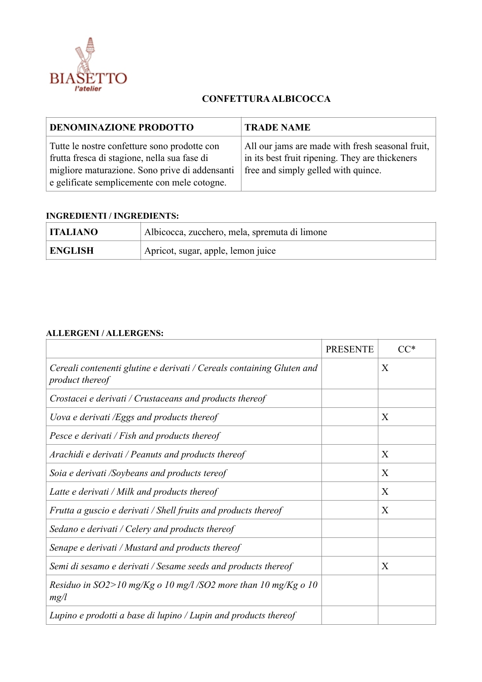

## **CONFETTURA ALBICOCCA**

| <b>DENOMINAZIONE PRODOTTO</b>                                                                                                                                                                  | <b>TRADE NAME</b>                                                                                                                          |
|------------------------------------------------------------------------------------------------------------------------------------------------------------------------------------------------|--------------------------------------------------------------------------------------------------------------------------------------------|
| Tutte le nostre confetture sono prodotte con<br>frutta fresca di stagione, nella sua fase di<br>migliore maturazione. Sono prive di addensanti<br>e gelificate semplicemente con mele cotogne. | All our jams are made with fresh seasonal fruit,<br>in its best fruit ripening. They are thickeners<br>free and simply gelled with quince. |

## **INGREDIENTI / INGREDIENTS:**

| <b>ITALIANO</b> | Albicocca, zucchero, mela, spremuta di limone |
|-----------------|-----------------------------------------------|
| <b>ENGLISH</b>  | Apricot, sugar, apple, lemon juice            |

## **ALLERGENI / ALLERGENS:**

|                                                                                          | <b>PRESENTE</b> | $CC^*$ |
|------------------------------------------------------------------------------------------|-----------------|--------|
| Cereali contenenti glutine e derivati / Cereals containing Gluten and<br>product thereof |                 | X      |
| Crostacei e derivati / Crustaceans and products thereof                                  |                 |        |
| Uova e derivati /Eggs and products thereof                                               |                 | X      |
| Pesce e derivati / Fish and products thereof                                             |                 |        |
| Arachidi e derivati / Peanuts and products thereof                                       |                 | X      |
| Soia e derivati /Soybeans and products tereof                                            |                 | X      |
| Latte e derivati / Milk and products thereof                                             |                 | X      |
| Frutta a guscio e derivati / Shell fruits and products thereof                           |                 | X      |
| Sedano e derivati / Celery and products thereof                                          |                 |        |
| Senape e derivati / Mustard and products thereof                                         |                 |        |
| Semi di sesamo e derivati / Sesame seeds and products thereof                            |                 | X      |
| Residuo in $SO2>10$ mg/Kg o 10 mg/l/SO2 more than 10 mg/Kg o 10<br>mg/l                  |                 |        |
| Lupino e prodotti a base di lupino / Lupin and products thereof                          |                 |        |